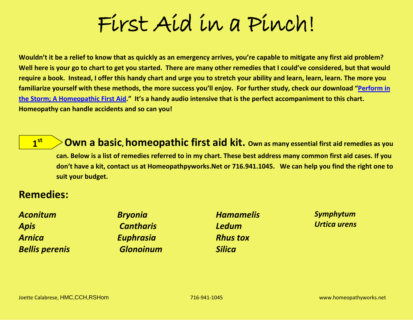# First Aid in a Pinch!

**Wouldn't it be a relief to know that as quickly as an emergency arrives, you're capable to mitigate any first aid problem? Well here is your go to chart to get you started. There are many other remedies that I could've considered, but that would require a book. Instead, I offer this handy chart and urge you to stretch your ability and learn, learn, learn. The more you familiarize yourself with these methods, the more success you'll enjoy. For further study, check our download "[Perform in](http://www.homeopathyworks.net/products/PerformInTheStorm.html)  [the Storm; A Homeopathic First Aid](http://www.homeopathyworks.net/products/PerformInTheStorm.html)." It's a handy audio intensive that is the perfect accompaniment to this chart. Homeopathy can handle accidents and so can you!** 

<u>**1**st</del></u>

**Own a basic, homeopathic first aid kit.** Own as many essential first aid remedies as you **can. Below is a list of remedies referred to in my chart. These best address many common first aid cases. If you don't have a kit, contact us at Homeopathpyworks.Net or 716.941.1045. We can help you find the right one to suit your budget.** 

## **Remedies:**

| <b>Aconitum</b>       | <b>Bryonia</b>   | <b>Hamamelis</b> | Symphytum           |
|-----------------------|------------------|------------------|---------------------|
| <b>Apis</b>           | <b>Cantharis</b> | <b>Ledum</b>     | <b>Urtica urens</b> |
| <b>Arnica</b>         | <b>Euphrasia</b> | <b>Rhus tox</b>  |                     |
| <b>Bellis perenis</b> | <b>Glonoinum</b> | <b>Silica</b>    |                     |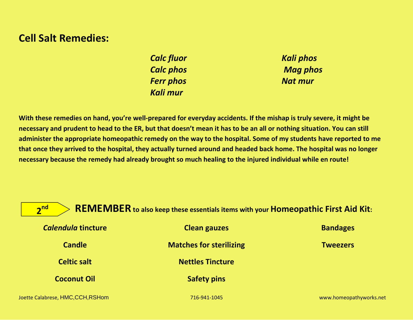## **Cell Salt Remedies:**

*Calc fluor Calc phos Ferr phos Kali mur*

*Kali phos Mag phos Nat mur*

**With these remedies on hand, you're well-prepared for everyday accidents. If the mishap is truly severe, it might be necessary and prudent to head to the ER, but that doesn't mean it has to be an all or nothing situation. You can still administer the appropriate homeopathic remedy on the way to the hospital. Some of my students have reported to me that once they arrived to the hospital, they actually turned around and headed back home. The hospital was no longer necessary because the remedy had already brought so much healing to the injured individual while en route!**

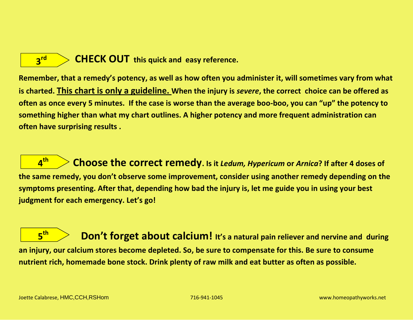

**CHECK OUT this quick and easy reference.** 

**Remember, that a remedy's potency, as well as how often you administer it, will sometimes vary from what is charted. This chart is only a guideline. When the injury is** *severe***, the correct choice can be offered as often as once every 5 minutes. If the case is worse than the average boo-boo, you can "up" the potency to something higher than what my chart outlines. A higher potency and more frequent administration can often have surprising results .**

 **Choose the correct remedy. Is it** *Ledum, Hypericum* **or** *Arnica***? If after 4 doses of the same remedy, you don't observe some improvement, consider using another remedy depending on the symptoms presenting. After that, depending how bad the injury is, let me guide you in using your best judgment for each emergency. Let's go!** <u>**4<sup>th</sup>**</u>

**Don't forget about calcium!** It's a natural pain reliever and nervine and during **an injury, our calcium stores become depleted. So, be sure to compensate for this. Be sure to consume nutrient rich, homemade bone stock. Drink plenty of raw milk and eat butter as often as possible.** <u>**5<sup>th</sup>**</u>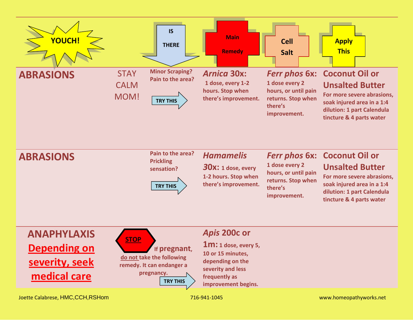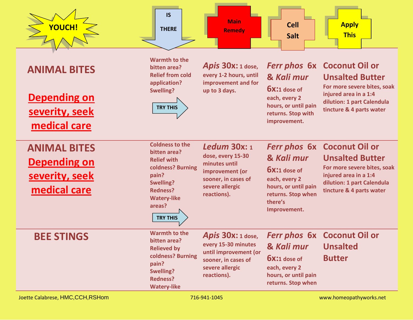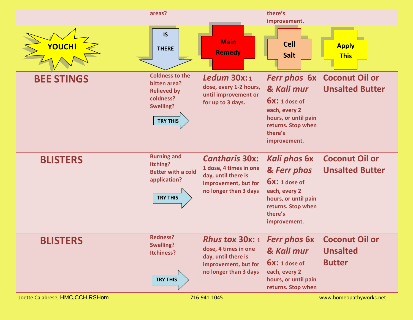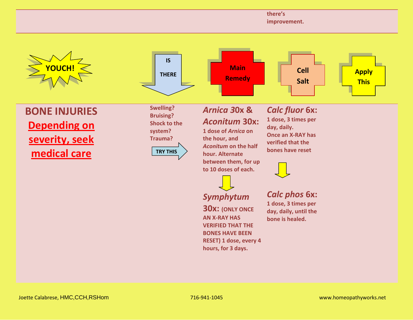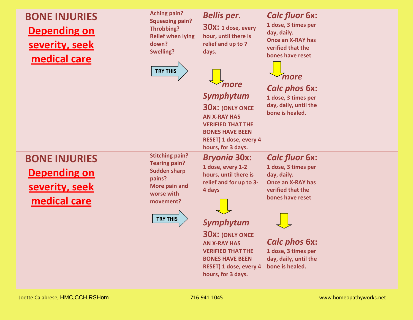## **BONE INJURIES Depending on severity, seek medical care**

**Aching pain? Squeezing pain? Throbbing? Relief when lying down? Swelling?**



#### *Bellis per.*

**30x: 1 dose, every hour, until there is relief and up to 7 days.**

## *more*

#### *Symphytum*

**30x: (ONLY ONCE AN X-RAY HAS VERIFIED THAT THE BONES HAVE BEEN RESET) 1 dose, every 4 hours, for 3 days.**

## *Calc fluor* **6x:**

**1 dose, 3 times per day, daily. Once an X-RAY has verified that the bones have reset**



## *Calc phos* **6x:**

**1 dose, 3 times per day, daily, until the bone is healed.**

**BONE INJURIES Depending on severity, seek medical care**

**Stitching pain? Tearing pain? Sudden sharp pains? More pain and worse with movement?**



#### *Bryonia* **30x: 1 dose, every 1-2 hours, until there is**

**30x:** *(ONLY ONCE* 

**AN X-RAY HAS VERIFIED THAT THE BONES HAVE BEEN RESET) 1 dose, every 4 hours, for 3 days.**

**4 days**

#### *Calc fluor* **6x:**

**relief and for up to 3- 1 dose, 3 times per day, daily. Once an X-RAY has verified that the bones have reset**



#### *Calc phos* **6x:**

**1 dose, 3 times per day, daily, until the bone is healed.**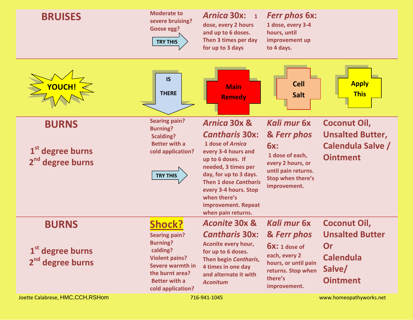| <b>BRUISES</b>                                               | <b>Moderate to</b><br>severe bruising?<br>Goose egg?<br><b>TRY THIS</b>                                                                                          | <b>Arnica 30x:</b><br>$\mathbf{1}$<br>dose, every 2 hours<br>and up to 6 doses.<br>Then 3 times per day<br>for up to 3 days                                                                                                         | <b>Ferr phos 6x:</b><br>1 dose, every 3-4<br>hours, until<br>improvement up<br>to 4 days.                                |                                                                               |
|--------------------------------------------------------------|------------------------------------------------------------------------------------------------------------------------------------------------------------------|-------------------------------------------------------------------------------------------------------------------------------------------------------------------------------------------------------------------------------------|--------------------------------------------------------------------------------------------------------------------------|-------------------------------------------------------------------------------|
| <b>YOUCH!</b>                                                | <b>IS</b><br><b>THERE</b>                                                                                                                                        | <b>Main</b><br><b>Remedy</b>                                                                                                                                                                                                        | <b>Cell</b><br><b>Salt</b>                                                                                               | <b>Apply</b><br><b>This</b>                                                   |
| <b>BURNS</b>                                                 | <b>Searing pain?</b><br><b>Burning?</b>                                                                                                                          | <b>Arnica 30x &amp;</b>                                                                                                                                                                                                             | Kali mur 6x                                                                                                              | Coconut Oil,                                                                  |
|                                                              | <b>Scalding?</b>                                                                                                                                                 | <b>Cantharis 30x:</b>                                                                                                                                                                                                               | & Ferr phos                                                                                                              | <b>Unsalted Butter,</b>                                                       |
| $1st$ degree burns<br>2 <sup>nd</sup> degree burns           | <b>Better with a</b><br>cold application?<br><b>TRY THIS</b>                                                                                                     | 1 dose of Arnica<br>every 3-4 hours and<br>up to 6 doses. If<br>needed, 3 times per<br>day, for up to 3 days.<br><b>Then 1 dose Cantharis</b><br>every 3-4 hours. Stop<br>when there's<br>improvement. Repeat<br>when pain returns. | <b>6x:</b><br>1 dose of each,<br>every 2 hours, or<br>until pain returns.<br>Stop when there's<br>improvement.           | Calendula Salve /<br><b>Ointment</b>                                          |
| <b>BURNS</b>                                                 | <b>Shock?</b>                                                                                                                                                    | <b>Aconite 30x &amp;</b>                                                                                                                                                                                                            | Kali mur 6x                                                                                                              | <b>Coconut Oil,</b>                                                           |
| 1 <sup>st</sup> degree burns<br>2 <sup>nd</sup> degree burns | <b>Searing pain?</b><br><b>Burning?</b><br>calding?<br><b>Violent pains?</b><br>Severe warmth in<br>the burnt area?<br><b>Better with a</b><br>cold application? | <b>Cantharis 30x:</b><br>Aconite every hour,<br>for up to 6 doses.<br>Then begin Cantharis,<br>4 times in one day<br>and alternate it with<br><b>Aconitum</b>                                                                       | & Ferr phos<br>$6x: 1$ dose of<br>each, every 2<br>hours, or until pain<br>returns. Stop when<br>there's<br>improvement. | <b>Unsalted Butter</b><br>Or<br><b>Calendula</b><br>Salve/<br><b>Ointment</b> |
| Joette Calabrese, HMC, CCH, RSHom                            |                                                                                                                                                                  | 716-941-1045                                                                                                                                                                                                                        |                                                                                                                          | www.homeopathyworks.net                                                       |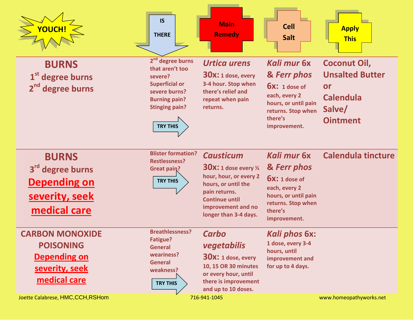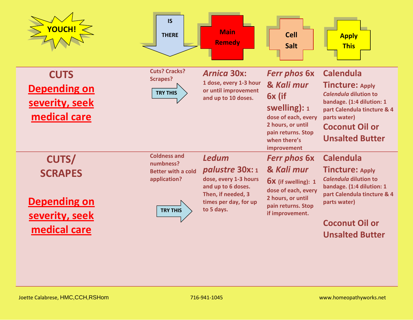| <b>YOUCH!</b>                                                                           | <b>IS</b><br><b>THERE</b>                                                                        | <b>Main</b><br><b>Remedy</b>                                                                                                                | <b>Cell</b><br><b>Salt</b>                                                                                                                                     | <b>Apply</b><br><b>This</b>                                                                                                                                                                        |
|-----------------------------------------------------------------------------------------|--------------------------------------------------------------------------------------------------|---------------------------------------------------------------------------------------------------------------------------------------------|----------------------------------------------------------------------------------------------------------------------------------------------------------------|----------------------------------------------------------------------------------------------------------------------------------------------------------------------------------------------------|
| <b>CUTS</b><br><b>Depending on</b><br>severity, seek<br>medical care                    | <b>Cuts? Cracks?</b><br><b>Scrapes?</b><br><b>TRY THIS</b>                                       | <b>Arnica 30x:</b><br>1 dose, every 1-3 hour<br>or until improvement<br>and up to 10 doses.                                                 | <b>Ferr phos 6x</b><br>& Kali mur<br>6x (if<br>swelling): $1$<br>dose of each, every<br>2 hours, or until<br>pain returns. Stop<br>when there's<br>improvement | <b>Calendula</b><br><b>Tincture: Apply</b><br>Calendula dilution to<br>bandage. (1:4 dilution: 1<br>part Calendula tincture & 4<br>parts water)<br><b>Coconut Oil or</b><br><b>Unsalted Butter</b> |
| <b>CUTS/</b><br><b>SCRAPES</b><br><b>Depending on</b><br>severity, seek<br>medical care | <b>Coldness and</b><br>numbness?<br><b>Better with a cold</b><br>application?<br><b>TRY THIS</b> | <b>Ledum</b><br>palustre 30x: 1<br>dose, every 1-3 hours<br>and up to 6 doses.<br>Then, if needed, 3<br>times per day, for up<br>to 5 days. | <b>Ferr phos 6x</b><br>& Kali mur<br><b>6X</b> (if swelling): 1<br>dose of each, every<br>2 hours, or until<br>pain returns. Stop<br>if improvement.           | <b>Calendula</b><br><b>Tincture: Apply</b><br>Calendula dilution to<br>bandage. (1:4 dilution: 1<br>part Calendula tincture & 4<br>parts water)<br><b>Coconut Oil or</b><br><b>Unsalted Butter</b> |
|                                                                                         |                                                                                                  |                                                                                                                                             |                                                                                                                                                                |                                                                                                                                                                                                    |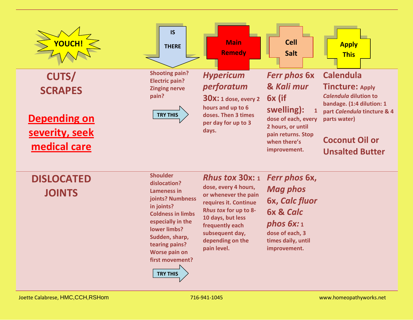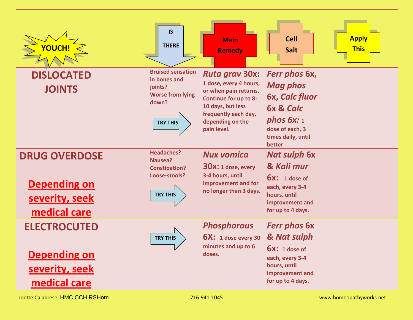| YOUCH!                             | <b>IS</b><br><b>THERE</b>                                                                                  | <b>Main</b><br><b>Remedy</b>                                                                                                                                                             | <b>Cell</b><br><b>Salt</b>                                                                                                                   | <b>Apply</b><br><b>This</b> |
|------------------------------------|------------------------------------------------------------------------------------------------------------|------------------------------------------------------------------------------------------------------------------------------------------------------------------------------------------|----------------------------------------------------------------------------------------------------------------------------------------------|-----------------------------|
| <b>DISLOCATED</b><br><b>JOINTS</b> | <b>Bruised sensation</b><br>in bones and<br>joints?<br><b>Worse from lying</b><br>down?<br><b>TRY THIS</b> | <b>Ruta grav 30x:</b><br>1 dose, every 4 hours,<br>or when pain returns.<br><b>Continue for up to 8-</b><br>10 days, but less<br>frequently each day,<br>depending on the<br>pain level. | Ferr phos 6x,<br><b>Mag phos</b><br>6x, Calc fluor<br><b>6x &amp; Calc</b><br>phos $6x:1$<br>dose of each, 3<br>times daily, until<br>better |                             |
| <b>DRUG OVERDOSE</b>               | <b>Headaches?</b><br>Nausea?                                                                               | <b>Nux vomica</b>                                                                                                                                                                        | <b>Nat sulph 6x</b>                                                                                                                          |                             |
|                                    | <b>Constipation?</b><br>Loose-stools?                                                                      | 30X: 1 dose, every<br>3-4 hours, until                                                                                                                                                   | & Kali mur                                                                                                                                   |                             |
| <b>Depending on</b>                |                                                                                                            | improvement and for<br>no longer than 3 days.                                                                                                                                            | $6x: 1$ dose of<br>each, every 3-4                                                                                                           |                             |
| severity, seek                     | <b>TRY THIS</b>                                                                                            |                                                                                                                                                                                          | hours, until<br>improvement and                                                                                                              |                             |
| medical care                       |                                                                                                            |                                                                                                                                                                                          | for up to 4 days.                                                                                                                            |                             |
| <b>ELECTROCUTED</b>                |                                                                                                            | <b>Phosphorous</b>                                                                                                                                                                       | <b>Ferr phos 6x</b>                                                                                                                          |                             |
|                                    | <b>TRY THIS</b>                                                                                            | $6X: 1$ dose every 30<br>minutes and up to 6                                                                                                                                             | & Nat sulph                                                                                                                                  |                             |
| <b>Depending on</b>                |                                                                                                            | doses.                                                                                                                                                                                   | $6x: 1$ dose of<br>each, every 3-4                                                                                                           |                             |
| severity, seek                     |                                                                                                            |                                                                                                                                                                                          | hours, until<br>improvement and                                                                                                              |                             |
| medical care                       |                                                                                                            |                                                                                                                                                                                          | for up to 4 days.                                                                                                                            |                             |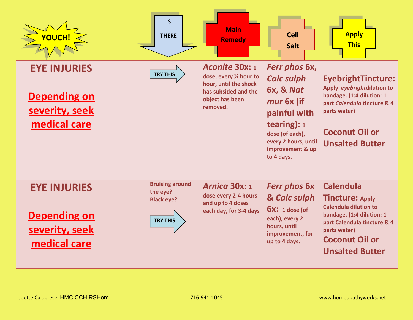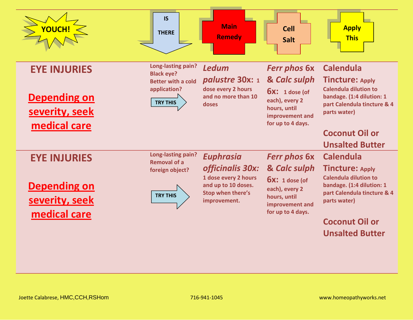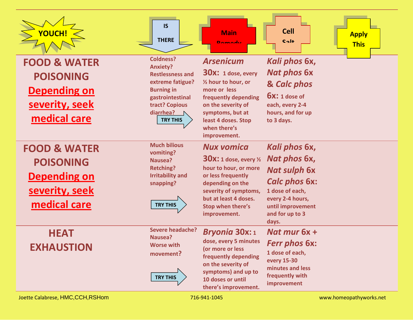| YOUCH!                                                                                               | <b>IS</b><br><b>THERE</b>                                                                                                                                                     | <b>Main</b><br><b>Domodu</b>                                                                                                                                                                                           | <b>Cell</b><br><b>Apply</b><br>$C2I+$<br><b>This</b>                                                                                                                 |  |
|------------------------------------------------------------------------------------------------------|-------------------------------------------------------------------------------------------------------------------------------------------------------------------------------|------------------------------------------------------------------------------------------------------------------------------------------------------------------------------------------------------------------------|----------------------------------------------------------------------------------------------------------------------------------------------------------------------|--|
| <b>FOOD &amp; WATER</b><br><b>POISONING</b><br><b>Depending on</b><br>severity, seek<br>medical care | <b>Coldness?</b><br><b>Anxiety?</b><br><b>Restlessness and</b><br>extreme fatigue?<br><b>Burning in</b><br>gastrointestinal<br>tract? Copious<br>diarrhea?<br><b>TRY THIS</b> | <b>Arsenicum</b><br>$30x$ : 1 dose, every<br>1/2 hour to hour, or<br>more or less<br>frequently depending<br>on the severity of<br>symptoms, but at<br>least 4 doses. Stop<br>when there's<br>improvement.             | Kali phos 6x,<br><b>Nat phos 6x</b><br>& Calc phos<br>$6x: 1$ dose of<br>each, every 2-4<br>hours, and for up<br>to 3 days.                                          |  |
| <b>FOOD &amp; WATER</b><br><b>POISONING</b><br><b>Depending on</b><br>severity, seek<br>medical care | <b>Much bilious</b><br>vomiting?<br>Nausea?<br><b>Retching?</b><br><b>Irritability and</b><br>snapping?<br><b>TRY THIS</b>                                                    | <b>Nux vomica</b><br><b>30X:</b> 1 dose, every $\frac{1}{2}$<br>hour to hour, or more<br>or less frequently<br>depending on the<br>severity of symptoms,<br>but at least 4 doses.<br>Stop when there's<br>improvement. | Kali phos 6x,<br>Nat phos 6x,<br><b>Nat sulph 6x</b><br><b>Calc phos 6x:</b><br>1 dose of each,<br>every 2-4 hours,<br>until improvement<br>and for up to 3<br>days. |  |
| <b>HEAT</b><br><b>EXHAUSTION</b>                                                                     | <b>Severe headache?</b><br>Nausea?<br><b>Worse with</b><br>movement?<br><b>TRY THIS</b>                                                                                       | <b>Bryonia 30x:1</b><br>dose, every 5 minutes<br>(or more or less<br>frequently depending<br>on the severity of<br>symptoms) and up to<br>10 doses or until<br>there's improvement.                                    | Nat mur $6x +$<br><b>Ferr phos 6x:</b><br>1 dose of each,<br>every 15-30<br>minutes and less<br>frequently with<br>improvement                                       |  |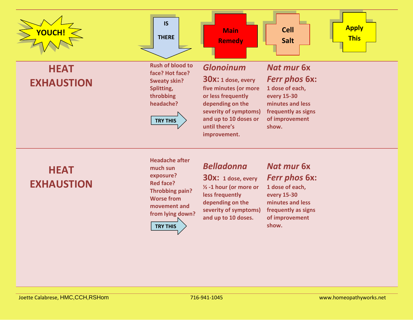

## **HEAT EXHAUSTION**

**Headache after much sun exposure? Red face? Throbbing pain? Worse from movement and from lying down? TRY THIS**

#### *Belladonna*

**30x: 1 dose, every ½ -1 hour (or more or less frequently depending on the severity of symptoms) and up to 10 doses.**

#### *Nat mur* **6x**  *Ferr phos 6x:*

**1 dose of each, every 15-30 minutes and less frequently as signs of improvement show.**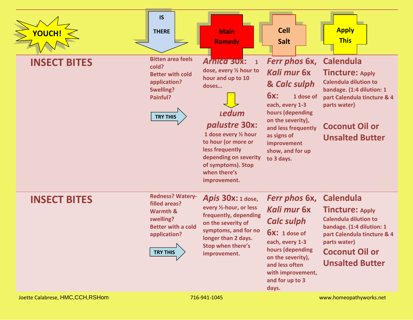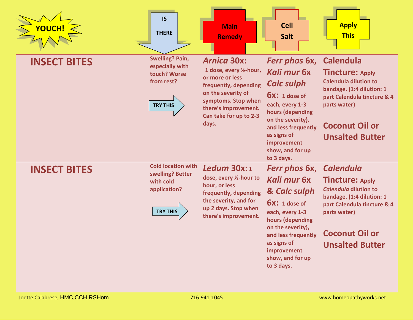| YOUCH!              | <b>IS</b><br><b>THERE</b>                                                                     | <b>Main</b><br><b>Remedy</b>                                                                                                                                                                      | <b>Cell</b><br><b>Salt</b>                                                                                                                                                                                              | <b>Apply</b><br><b>This</b>                                                                                                                                                                               |
|---------------------|-----------------------------------------------------------------------------------------------|---------------------------------------------------------------------------------------------------------------------------------------------------------------------------------------------------|-------------------------------------------------------------------------------------------------------------------------------------------------------------------------------------------------------------------------|-----------------------------------------------------------------------------------------------------------------------------------------------------------------------------------------------------------|
| <b>INSECT BITES</b> | <b>Swelling? Pain,</b><br>especially with<br>touch? Worse<br>from rest?<br><b>TRY THIS</b>    | <b>Arnica 30x:</b><br>1 dose, every 1/2-hour,<br>or more or less<br>frequently, depending<br>on the severity of<br>symptoms. Stop when<br>there's improvement.<br>Can take for up to 2-3<br>days. | Ferr phos 6x,<br>Kali mur 6x<br><b>Calc sulph</b><br>$6x: 1$ dose of<br>each, every 1-3<br>hours (depending<br>on the severity),<br>and less frequently<br>as signs of<br>improvement<br>show, and for up<br>to 3 days. | <b>Calendula</b><br><b>Tincture: Apply</b><br><b>Calendula dilution to</b><br>bandage. (1:4 dilution: 1<br>part Calendula tincture & 4<br>parts water)<br><b>Coconut Oil or</b><br><b>Unsalted Butter</b> |
| <b>INSECT BITES</b> | <b>Cold location with</b><br>swelling? Better<br>with cold<br>application?<br><b>TRY THIS</b> | Ledum $30x:1$<br>dose, every 1/2-hour to<br>hour, or less<br>frequently, depending<br>the severity, and for<br>up 2 days. Stop when<br>there's improvement.                                       | Ferr phos 6x,<br>Kali mur 6x<br>& Calc sulph<br>$6x: 1$ dose of<br>each, every 1-3<br>hours (depending<br>on the severity),<br>and less frequently<br>as signs of<br>improvement<br>show, and for up<br>to 3 days.      | <b>Calendula</b><br><b>Tincture: Apply</b><br>Calendula dilution to<br>bandage. (1:4 dilution: 1<br>part Calendula tincture & 4<br>parts water)<br><b>Coconut Oil or</b><br><b>Unsalted Butter</b>        |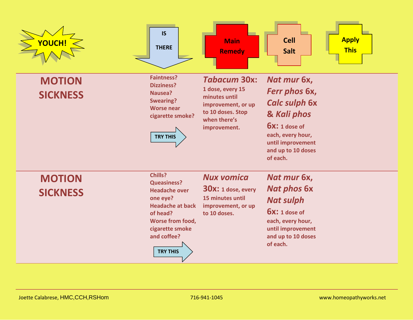| YOUCH!                           | IS<br><b>THERE</b>                                                                                                                                                                       | <b>Main</b><br><b>Remedy</b>                                                                                                        | <b>Apply</b><br><b>Cell</b><br><b>This</b><br><b>Salt</b>                                                                                                          |
|----------------------------------|------------------------------------------------------------------------------------------------------------------------------------------------------------------------------------------|-------------------------------------------------------------------------------------------------------------------------------------|--------------------------------------------------------------------------------------------------------------------------------------------------------------------|
| <b>MOTION</b><br><b>SICKNESS</b> | <b>Faintness?</b><br><b>Dizziness?</b><br>Nausea?<br><b>Swearing?</b><br><b>Worse near</b><br>cigarette smoke?<br><b>TRY THIS</b>                                                        | <b>Tabacum 30x:</b><br>1 dose, every 15<br>minutes until<br>improvement, or up<br>to 10 doses. Stop<br>when there's<br>improvement. | Nat mur 6x,<br>Ferr phos 6x,<br><b>Calc sulph 6x</b><br>& Kali phos<br>$6x: 1$ dose of<br>each, every hour,<br>until improvement<br>and up to 10 doses<br>of each. |
| <b>MOTION</b><br><b>SICKNESS</b> | Chills?<br><b>Queasiness?</b><br><b>Headache over</b><br>one eye?<br><b>Headache at back</b><br>of head?<br><b>Worse from food,</b><br>cigarette smoke<br>and coffee?<br><b>TRY THIS</b> | <b>Nux vomica</b><br><b>30x:</b> 1 dose, every<br>15 minutes until<br>improvement, or up<br>to 10 doses.                            | Nat mur 6x,<br><b>Nat phos 6x</b><br><b>Nat sulph</b><br>$6x: 1$ dose of<br>each, every hour,<br>until improvement<br>and up to 10 doses<br>of each.               |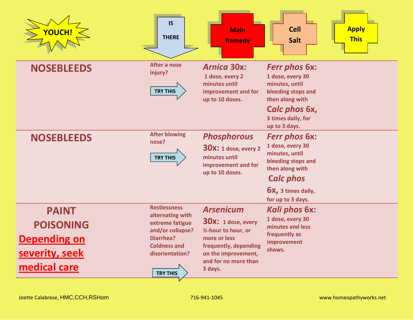| YOUCH!                                                                                    | <b>IS</b><br><b>THERE</b>                                                                                                                                | <b>Main</b><br><b>Remedy</b>                                                                                                                                                          | <b>Cell</b><br><b>Salt</b>                                                                                                                                         | <b>Apply</b><br><b>This</b> |
|-------------------------------------------------------------------------------------------|----------------------------------------------------------------------------------------------------------------------------------------------------------|---------------------------------------------------------------------------------------------------------------------------------------------------------------------------------------|--------------------------------------------------------------------------------------------------------------------------------------------------------------------|-----------------------------|
| <b>NOSEBLEEDS</b>                                                                         | After a nose<br>injury?<br><b>TRY THIS</b>                                                                                                               | <b>Arnica 30x:</b><br>1 dose, every 2<br>minutes until<br>improvement and for<br>up to 10 doses.                                                                                      | <b>Ferr phos 6x:</b><br>1 dose, every 30<br>minutes, until<br>bleeding stops and<br>then along with<br>Calc phos 6x,<br>3 times daily, for<br>up to 3 days.        |                             |
| <b>NOSEBLEEDS</b>                                                                         | <b>After blowing</b><br>nose?<br><b>TRY THIS</b>                                                                                                         | <b>Phosphorous</b><br>$30x$ : 1 dose, every 2<br>minutes until<br>improvement and for<br>up to 10 doses.                                                                              | <b>Ferr phos 6x:</b><br>1 dose, every 30<br>minutes, until<br>bleeding stops and<br>then along with<br><b>Calc phos</b><br>6x, 3 times daily,<br>for up to 3 days. |                             |
| <b>PAINT</b><br><b>POISONING</b><br><b>Depending on</b><br>severity, seek<br>medical care | <b>Restlessness</b><br>alternating with<br>extreme fatigue<br>and/or collapse?<br>Diarrhea?<br><b>Coldness and</b><br>disorientation?<br><b>TRY THIS</b> | <b>Arsenicum</b><br><b>30x:</b> 1 dose, every<br>1/ <sub>2</sub> -hour to hour, or<br>more or less<br>frequently, depending<br>on the improvement,<br>and for no more than<br>3 days. | Kali phos 6x:<br>1 dose, every 30<br>minutes and less<br>frequently as<br>improvement<br>shows.                                                                    |                             |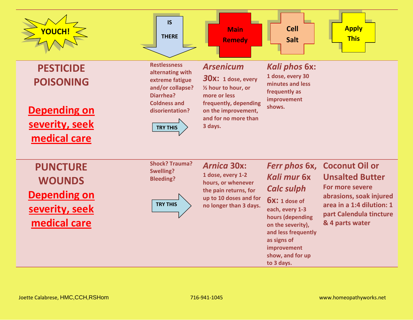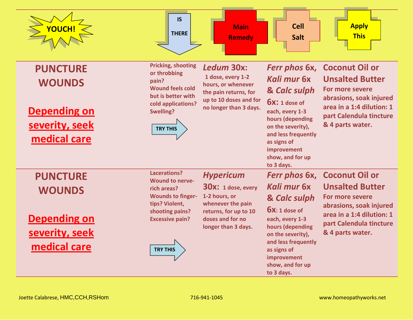| YOUCH!                                                                                    | <b>IS</b><br><b>THERE</b>                                                                                                                                           | <b>Main</b><br><b>Remedy</b>                                                                                                                       | <b>Cell</b><br><b>Salt</b>                                                                                                                                                                                              | <b>Apply</b><br><b>This</b>                                                                                                                                               |
|-------------------------------------------------------------------------------------------|---------------------------------------------------------------------------------------------------------------------------------------------------------------------|----------------------------------------------------------------------------------------------------------------------------------------------------|-------------------------------------------------------------------------------------------------------------------------------------------------------------------------------------------------------------------------|---------------------------------------------------------------------------------------------------------------------------------------------------------------------------|
| <b>PUNCTURE</b><br><b>WOUNDS</b><br><b>Depending on</b><br>severity, seek<br>medical care | <b>Pricking, shooting</b><br>or throbbing<br>pain?<br><b>Wound feels cold</b><br>but is better with<br>cold applications?<br><b>Swelling?</b><br><b>TRY THIS</b>    | Ledum 30x:<br>1 dose, every 1-2<br>hours, or whenever<br>the pain returns, for<br>up to 10 doses and for<br>no longer than 3 days.                 | Ferr phos 6x,<br>Kali mur 6x<br>& Calc sulph<br><b>6X:</b> 1 dose of<br>each, every 1-3<br>hours (depending<br>on the severity),<br>and less frequently<br>as signs of<br>improvement<br>show, and for up<br>to 3 days. | <b>Coconut Oil or</b><br><b>Unsalted Butter</b><br>For more severe<br>abrasions, soak injured<br>area in a 1:4 dilution: 1<br>part Calendula tincture<br>& 4 parts water. |
| <b>PUNCTURE</b><br><b>WOUNDS</b><br><b>Depending on</b><br>severity, seek<br>medical care | Lacerations?<br><b>Wound to nerve-</b><br>rich areas?<br><b>Wounds to finger-</b><br>tips? Violent,<br>shooting pains?<br><b>Excessive pain?</b><br><b>TRY THIS</b> | <b>Hypericum</b><br>$30x: 1$ dose, every<br>1-2 hours, or<br>whenever the pain<br>returns, for up to 10<br>doses and for no<br>longer than 3 days. | Ferr phos 6x,<br>Kali mur 6x<br>& Calc sulph<br>$6x: 1$ dose of<br>each, every 1-3<br>hours (depending<br>on the severity),<br>and less frequently<br>as signs of<br>improvement<br>show, and for up<br>to 3 days.      | <b>Coconut Oil or</b><br><b>Unsalted Butter</b><br>For more severe<br>abrasions, soak injured<br>area in a 1:4 dilution: 1<br>part Calendula tincture<br>& 4 parts water. |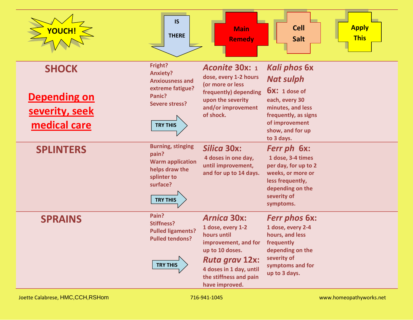| YOUCH!                                                                | <b>IS</b><br><b>THERE</b>                                                                                                      | <b>Main</b><br><b>Remedy</b>                                                                                                                                                                      | <b>Cell</b><br><b>Apply</b><br><b>This</b><br>Salt                                                                                                                            |
|-----------------------------------------------------------------------|--------------------------------------------------------------------------------------------------------------------------------|---------------------------------------------------------------------------------------------------------------------------------------------------------------------------------------------------|-------------------------------------------------------------------------------------------------------------------------------------------------------------------------------|
| <b>SHOCK</b><br><b>Depending on</b><br>severity, seek<br>medical care | Fright?<br><b>Anxiety?</b><br><b>Anxiousness and</b><br>extreme fatigue?<br>Panic?<br><b>Severe stress?</b><br><b>TRY THIS</b> | Aconite 30x: 1<br>dose, every 1-2 hours<br>(or more or less<br>frequently) depending<br>upon the severity<br>and/or improvement<br>of shock.                                                      | <b>Kali phos 6x</b><br><b>Nat sulph</b><br>$6x: 1$ dose of<br>each, every 30<br>minutes, and less<br>frequently, as signs<br>of improvement<br>show, and for up<br>to 3 days. |
| <b>SPLINTERS</b>                                                      | <b>Burning, stinging</b><br>pain?<br><b>Warm application</b><br>helps draw the<br>splinter to<br>surface?<br><b>TRY THIS</b>   | <b>Silica 30x:</b><br>4 doses in one day,<br>until improvement,<br>and for up to 14 days.                                                                                                         | Ferr ph 6x:<br>1 dose, 3-4 times<br>per day, for up to 2<br>weeks, or more or<br>less frequently,<br>depending on the<br>severity of<br>symptoms.                             |
| <b>SPRAINS</b>                                                        | Pain?<br><b>Stiffness?</b><br><b>Pulled ligaments?</b><br><b>Pulled tendons?</b><br><b>TRY THIS</b>                            | <b>Arnica 30x:</b><br>1 dose, every 1-2<br>hours until<br>improvement, and for<br>up to 10 doses.<br><b>Ruta grav 12x:</b><br>4 doses in 1 day, until<br>the stiffness and pain<br>have improved. | <b>Ferr phos 6x:</b><br>1 dose, every 2-4<br>hours, and less<br>frequently<br>depending on the<br>severity of<br>symptoms and for<br>up to 3 days.                            |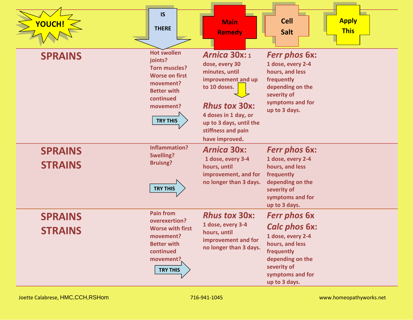| YOUCH!                           | <b>IS</b><br><b>THERE</b>                                                                                                                                      | <b>Main</b><br><b>Remedy</b>                                                                                                                                                                                      | <b>Apply</b><br><b>Cell</b><br><b>This</b><br><b>Salt</b>                                                                                                                 |
|----------------------------------|----------------------------------------------------------------------------------------------------------------------------------------------------------------|-------------------------------------------------------------------------------------------------------------------------------------------------------------------------------------------------------------------|---------------------------------------------------------------------------------------------------------------------------------------------------------------------------|
| <b>SPRAINS</b>                   | <b>Hot swollen</b><br>joints?<br><b>Torn muscles?</b><br><b>Worse on first</b><br>movement?<br><b>Better with</b><br>continued<br>movement?<br><b>TRY THIS</b> | <b>Arnica 30x: 1</b><br>dose, every 30<br>minutes, until<br>improvement and up<br>to 10 doses.<br><b>Rhus tox 30x:</b><br>4 doses in 1 day, or<br>up to 3 days, until the<br>stiffness and pain<br>have improved. | <b>Ferr phos 6x:</b><br>1 dose, every 2-4<br>hours, and less<br>frequently<br>depending on the<br>severity of<br>symptoms and for<br>up to 3 days.                        |
| <b>SPRAINS</b><br><b>STRAINS</b> | <b>Inflammation?</b><br><b>Swelling?</b><br><b>Bruisng?</b><br><b>TRY THIS</b>                                                                                 | <b>Arnica 30x:</b><br>1 dose, every 3-4<br>hours, until<br>improvement, and for<br>no longer than 3 days.                                                                                                         | <b>Ferr phos 6x:</b><br>1 dose, every 2-4<br>hours, and less<br>frequently<br>depending on the<br>severity of<br>symptoms and for<br>up to 3 days.                        |
| <b>SPRAINS</b><br><b>STRAINS</b> | <b>Pain from</b><br>overexertion?<br><b>Worse with first</b><br>movement?<br><b>Better with</b><br>continued<br>movement?<br><b>TRY THIS</b>                   | <b>Rhus tox 30x:</b><br>1 dose, every 3-4<br>hours, until<br>improvement and for<br>no longer than 3 days.                                                                                                        | <b>Ferr phos 6x</b><br><b>Calc phos 6x:</b><br>1 dose, every 2-4<br>hours, and less<br>frequently<br>depending on the<br>severity of<br>symptoms and for<br>up to 3 days. |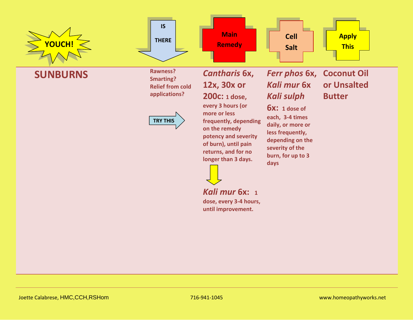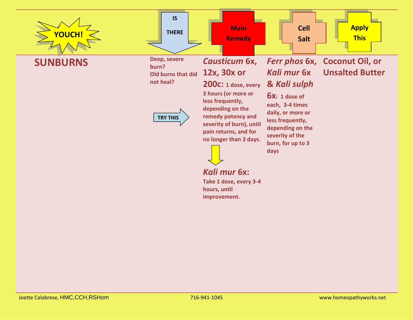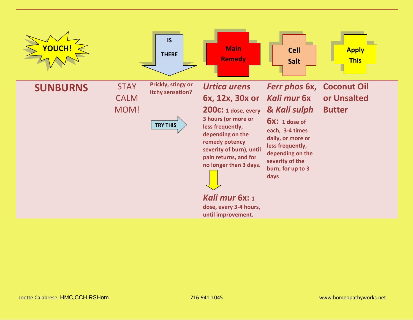